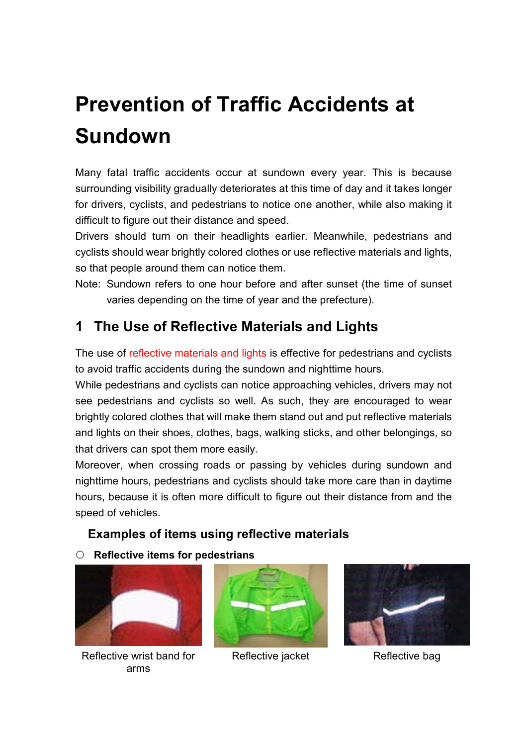# **Prevention of Traffic Accidents at Sundown**

Many fatal traffic accidents occur at sundown every year. This is because surrounding visibility gradually deteriorates at this time of day and it takes longer for drivers, cyclists, and pedestrians to notice one another, while also making it difficult to figure out their distance and speed.

Drivers should turn on their headlights earlier. Meanwhile, pedestrians and cyclists should wear brightly colored clothes or use reflective materials and lights, so that people around them can notice them.

Note: Sundown refers to one hour before and after sunset (the time of sunset varies depending on the time of year and the prefecture).

### **1 The Use of Reflective Materials and Lights**

The use of reflective materials and lights is effective for pedestrians and cyclists to avoid traffic accidents during the sundown and nighttime hours.

While pedestrians and cyclists can notice approaching vehicles, drivers may not see pedestrians and cyclists so well. As such, they are encouraged to wear brightly colored clothes that will make them stand out and put reflective materials and lights on their shoes, clothes, bags, walking sticks, and other belongings, so that drivers can spot them more easily.

Moreover, when crossing roads or passing by vehicles during sundown and nighttime hours, pedestrians and cyclists should take more care than in daytime hours, because it is often more difficult to figure out their distance from and the speed of vehicles.

#### **Examples of items using reflective materials**

#### **Reflective items for pedestrians**



Reflective wrist band for arms



Reflective jacket Reflective bag